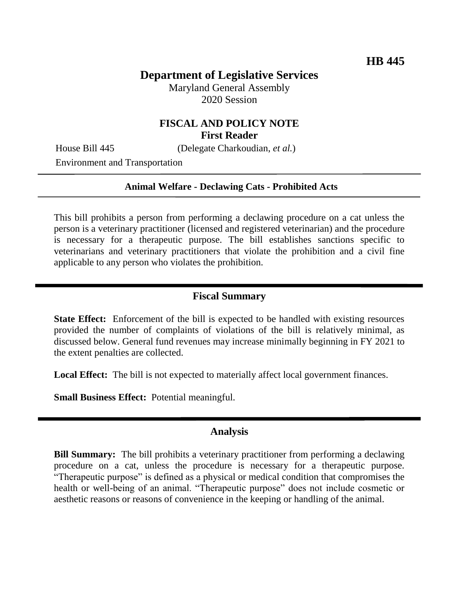# **Department of Legislative Services**

Maryland General Assembly 2020 Session

# **FISCAL AND POLICY NOTE First Reader**

House Bill 445 (Delegate Charkoudian, *et al.*)

Environment and Transportation

#### **Animal Welfare - Declawing Cats - Prohibited Acts**

This bill prohibits a person from performing a declawing procedure on a cat unless the person is a veterinary practitioner (licensed and registered veterinarian) and the procedure is necessary for a therapeutic purpose. The bill establishes sanctions specific to veterinarians and veterinary practitioners that violate the prohibition and a civil fine applicable to any person who violates the prohibition.

## **Fiscal Summary**

**State Effect:** Enforcement of the bill is expected to be handled with existing resources provided the number of complaints of violations of the bill is relatively minimal, as discussed below. General fund revenues may increase minimally beginning in FY 2021 to the extent penalties are collected.

**Local Effect:** The bill is not expected to materially affect local government finances.

**Small Business Effect:** Potential meaningful.

#### **Analysis**

**Bill Summary:** The bill prohibits a veterinary practitioner from performing a declawing procedure on a cat, unless the procedure is necessary for a therapeutic purpose. "Therapeutic purpose" is defined as a physical or medical condition that compromises the health or well-being of an animal. "Therapeutic purpose" does not include cosmetic or aesthetic reasons or reasons of convenience in the keeping or handling of the animal.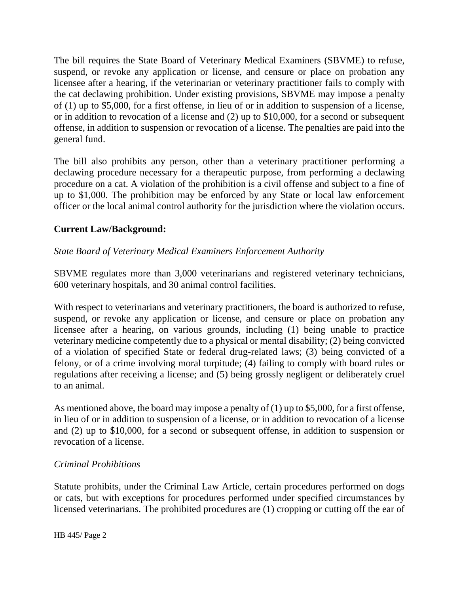The bill requires the State Board of Veterinary Medical Examiners (SBVME) to refuse, suspend, or revoke any application or license, and censure or place on probation any licensee after a hearing, if the veterinarian or veterinary practitioner fails to comply with the cat declawing prohibition. Under existing provisions, SBVME may impose a penalty of (1) up to \$5,000, for a first offense, in lieu of or in addition to suspension of a license, or in addition to revocation of a license and (2) up to \$10,000, for a second or subsequent offense, in addition to suspension or revocation of a license. The penalties are paid into the general fund.

The bill also prohibits any person, other than a veterinary practitioner performing a declawing procedure necessary for a therapeutic purpose, from performing a declawing procedure on a cat. A violation of the prohibition is a civil offense and subject to a fine of up to \$1,000. The prohibition may be enforced by any State or local law enforcement officer or the local animal control authority for the jurisdiction where the violation occurs.

# **Current Law/Background:**

## *State Board of Veterinary Medical Examiners Enforcement Authority*

SBVME regulates more than 3,000 veterinarians and registered veterinary technicians, 600 veterinary hospitals, and 30 animal control facilities.

With respect to veterinarians and veterinary practitioners, the board is authorized to refuse, suspend, or revoke any application or license, and censure or place on probation any licensee after a hearing, on various grounds, including (1) being unable to practice veterinary medicine competently due to a physical or mental disability; (2) being convicted of a violation of specified State or federal drug-related laws; (3) being convicted of a felony, or of a crime involving moral turpitude; (4) failing to comply with board rules or regulations after receiving a license; and (5) being grossly negligent or deliberately cruel to an animal.

As mentioned above, the board may impose a penalty of (1) up to \$5,000, for a first offense, in lieu of or in addition to suspension of a license, or in addition to revocation of a license and (2) up to \$10,000, for a second or subsequent offense, in addition to suspension or revocation of a license.

## *Criminal Prohibitions*

Statute prohibits, under the Criminal Law Article, certain procedures performed on dogs or cats, but with exceptions for procedures performed under specified circumstances by licensed veterinarians. The prohibited procedures are (1) cropping or cutting off the ear of